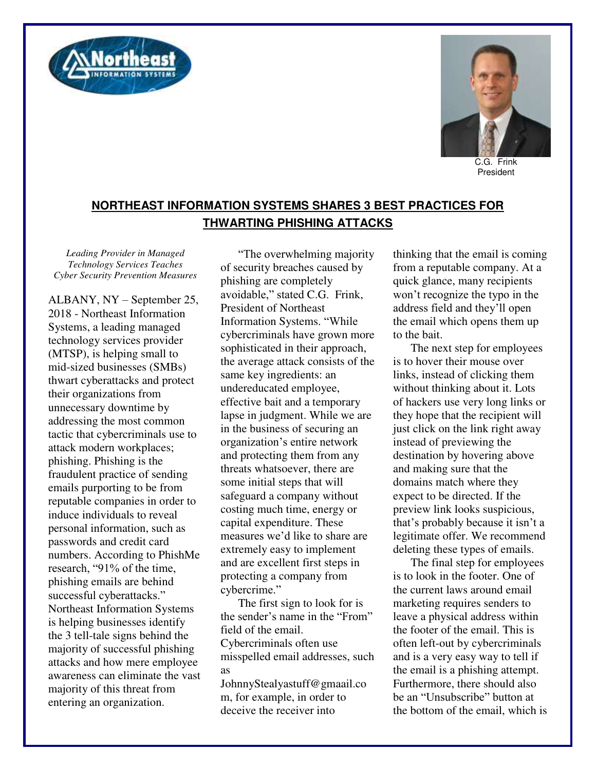



C.G. Frink President

## **NORTHEAST INFORMATION SYSTEMS SHARES 3 BEST PRACTICES FOR THWARTING PHISHING ATTACKS**

*Leading Provider in Managed Technology Services Teaches Cyber Security Prevention Measures* 

ALBANY, NY – September 25, 2018 - Northeast Information Systems, a leading managed technology services provider (MTSP), is helping small to mid-sized businesses (SMBs) thwart cyberattacks and protect their organizations from unnecessary downtime by addressing the most common tactic that cybercriminals use to attack modern workplaces; phishing. Phishing is the fraudulent practice of sending emails purporting to be from reputable companies in order to induce individuals to reveal personal information, such as passwords and credit card numbers. According to PhishMe research, "91% of the time, phishing emails are behind successful cyberattacks." Northeast Information Systems is helping businesses identify the 3 tell-tale signs behind the majority of successful phishing attacks and how mere employee awareness can eliminate the vast majority of this threat from entering an organization.

"The overwhelming majority of security breaches caused by phishing are completely avoidable," stated C.G. Frink, President of Northeast Information Systems. "While cybercriminals have grown more sophisticated in their approach, the average attack consists of the same key ingredients: an undereducated employee, effective bait and a temporary lapse in judgment. While we are in the business of securing an organization's entire network and protecting them from any threats whatsoever, there are some initial steps that will safeguard a company without costing much time, energy or capital expenditure. These measures we'd like to share are extremely easy to implement and are excellent first steps in protecting a company from cybercrime."

The first sign to look for is the sender's name in the "From" field of the email. Cybercriminals often use misspelled email addresses, such as

JohnnyStealyastuff@gmaail.co m, for example, in order to deceive the receiver into

thinking that the email is coming from a reputable company. At a quick glance, many recipients won't recognize the typo in the address field and they'll open the email which opens them up to the bait.

The next step for employees is to hover their mouse over links, instead of clicking them without thinking about it. Lots of hackers use very long links or they hope that the recipient will just click on the link right away instead of previewing the destination by hovering above and making sure that the domains match where they expect to be directed. If the preview link looks suspicious, that's probably because it isn't a legitimate offer. We recommend deleting these types of emails.

The final step for employees is to look in the footer. One of the current laws around email marketing requires senders to leave a physical address within the footer of the email. This is often left-out by cybercriminals and is a very easy way to tell if the email is a phishing attempt. Furthermore, there should also be an "Unsubscribe" button at the bottom of the email, which is